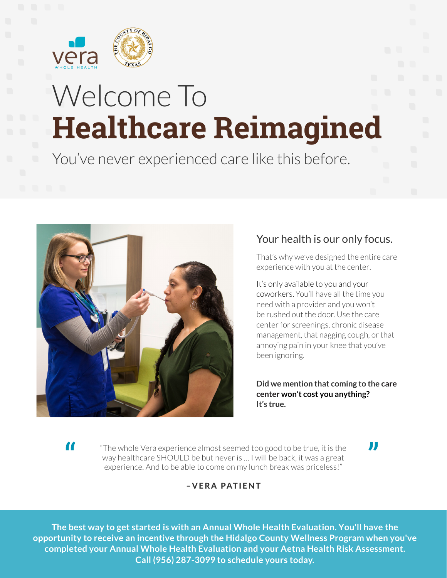

# Welcome To **Healthcare Reimagined**

You've never experienced care like this before.



## Your health is our only focus.

That's why we've designed the entire care experience with you at the center.

It's only available to you and your coworkers. You'll have all the time you need with a provider and you won't be rushed out the door. Use the care center for screenings, chronic disease management, that nagging cough, or that annoying pain in your knee that you've been ignoring.

**Did we mention that coming to the care center won't cost you anything? It's true.**

"The whole Vera experience almost seemed too good to be true, it is the way healthcare SHOULD be but never is … I will be back, it was a great experience. And to be able to come on my lunch break was priceless!" The whole Vera experience almost seemed too good to be true, it is the<br>way healthcare SHOULD be but never is ... I will be back, it was a great<br>experience. And to be able to come on my lunch break was priceless!"

#### –VERA PATIENT

**The best way to get started is with an Annual Whole Health Evaluation. You'll have the opportunity to receive an incentive through the Hidalgo County Wellness Program when you've completed your Annual Whole Health Evaluation and your Aetna Health Risk Assessment. Call (956) 287-3099 to schedule yours today.**